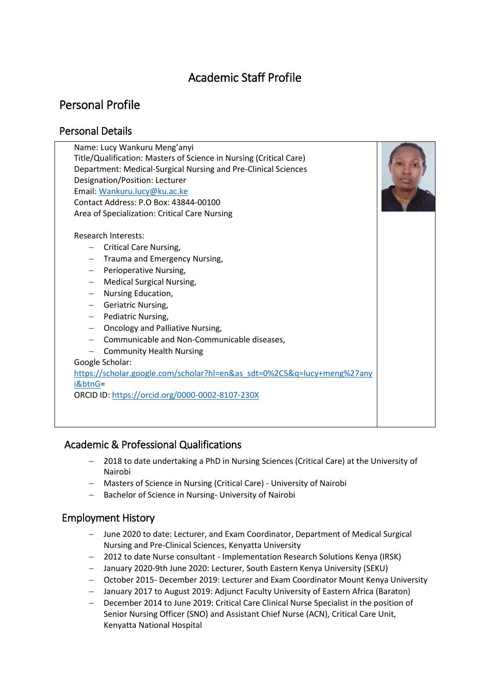# Academic Staff Profile

## Personal Profile

### Personal Details

| Name: Lucy Wankuru Meng'anyi                                            |  |
|-------------------------------------------------------------------------|--|
| Title/Qualification: Masters of Science in Nursing (Critical Care)      |  |
| Department: Medical-Surgical Nursing and Pre-Clinical Sciences          |  |
| Designation/Position: Lecturer                                          |  |
| Email: Wankuru.lucy@ku.ac.ke                                            |  |
| Contact Address: P.O Box: 43844-00100                                   |  |
| Area of Specialization: Critical Care Nursing                           |  |
| Research Interests:                                                     |  |
|                                                                         |  |
| <b>Critical Care Nursing,</b>                                           |  |
| Trauma and Emergency Nursing,                                           |  |
| Perioperative Nursing,                                                  |  |
| <b>Medical Surgical Nursing,</b><br>$\overline{\phantom{0}}$            |  |
| Nursing Education,<br>$\qquad \qquad -$                                 |  |
| Geriatric Nursing,<br>$-$                                               |  |
| Pediatric Nursing,<br>$\qquad \qquad -$                                 |  |
| Oncology and Palliative Nursing,<br>$\qquad \qquad -$                   |  |
| Communicable and Non-Communicable diseases,                             |  |
| <b>Community Health Nursing</b>                                         |  |
| Google Scholar:                                                         |  |
| https://scholar.google.com/scholar?hl=en&as_sdt=0%2C5&q=lucy+meng%27any |  |
| i&btnG=                                                                 |  |
| ORCID ID: https://orcid.org/0000-0002-8107-230X                         |  |
|                                                                         |  |
|                                                                         |  |
|                                                                         |  |

### Academic & Professional Qualifications

- 2018 to date undertaking a PhD in Nursing Sciences (Critical Care) at the University of Nairobi
- Masters of Science in Nursing (Critical Care) University of Nairobi
- Bachelor of Science in Nursing- University of Nairobi

## Employment History

- June 2020 to date: Lecturer, and Exam Coordinator, Department of Medical Surgical Nursing and Pre-Clinical Sciences, Kenyatta University
- 2012 to date Nurse consultant Implementation Research Solutions Kenya (IRSK)
- January 2020-9th June 2020: Lecturer, South Eastern Kenya University (SEKU)
- October 2015- December 2019: Lecturer and Exam Coordinator Mount Kenya University
- January 2017 to August 2019: Adjunct Faculty University of Eastern Africa (Baraton)
- December 2014 to June 2019: Critical Care Clinical Nurse Specialist in the position of Senior Nursing Officer (SNO) and Assistant Chief Nurse (ACN), Critical Care Unit, Kenyatta National Hospital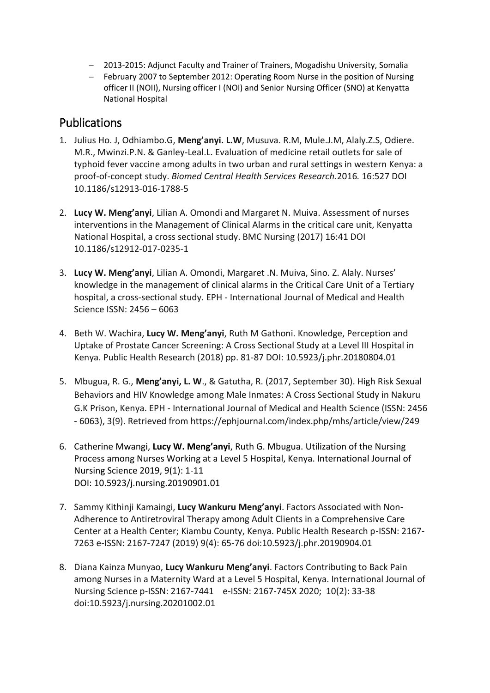- 2013-2015: Adjunct Faculty and Trainer of Trainers, Mogadishu University, Somalia
- February 2007 to September 2012: Operating Room Nurse in the position of Nursing officer II (NOII), Nursing officer I (NOI) and Senior Nursing Officer (SNO) at Kenyatta National Hospital

## Publications

- 1. Julius Ho. J, Odhiambo.G, **Meng'anyi. L.W**, Musuva. R.M, Mule.J.M, Alaly.Z.S, Odiere. M.R., Mwinzi.P.N. & Ganley-Leal.L. Evaluation of medicine retail outlets for sale of typhoid fever vaccine among adults in two urban and rural settings in western Kenya: a proof-of-concept study. *Biomed Central Health Services Research.*2016*.* 16:527 DOI 10.1186/s12913-016-1788-5
- 2. **Lucy W. Meng'anyi**, Lilian A. Omondi and Margaret N. Muiva. Assessment of nurses interventions in the Management of Clinical Alarms in the critical care unit, Kenyatta National Hospital, a cross sectional study. BMC Nursing (2017) 16:41 DOI 10.1186/s12912-017-0235-1
- 3. **Lucy W. Meng'anyi**, Lilian A. Omondi, Margaret .N. Muiva, Sino. Z. Alaly. Nurses' knowledge in the management of clinical alarms in the Critical Care Unit of a Tertiary hospital, a cross-sectional study. EPH - International Journal of Medical and Health Science ISSN: 2456 – 6063
- 4. Beth W. Wachira, **Lucy W. Meng'anyi**, Ruth M Gathoni. Knowledge, Perception and Uptake of Prostate Cancer Screening: A Cross Sectional Study at a Level III Hospital in Kenya. Public Health Research (2018) pp. 81-87 DOI: 10.5923/j.phr.20180804.01
- 5. Mbugua, R. G., **Meng'anyi, L. W**., & Gatutha, R. (2017, September 30). High Risk Sexual Behaviors and HIV Knowledge among Male Inmates: A Cross Sectional Study in Nakuru G.K Prison, Kenya. EPH - International Journal of Medical and Health Science (ISSN: 2456 - 6063), 3(9). Retrieved from https://ephjournal.com/index.php/mhs/article/view/249
- 6. Catherine Mwangi, **Lucy W. Meng'anyi**, Ruth G. Mbugua. Utilization of the Nursing Process among Nurses Working at a Level 5 Hospital, Kenya. International Journal of Nursing Science 2019, 9(1): 1-11 DOI: 10.5923/j.nursing.20190901.01
- 7. Sammy Kithinji Kamaingi, **Lucy Wankuru Meng'anyi**. Factors Associated with Non-Adherence to Antiretroviral Therapy among Adult Clients in a Comprehensive Care Center at a Health Center; Kiambu County, Kenya. Public Health Research p-ISSN: 2167- 7263 e-ISSN: 2167-7247 (2019) 9(4): 65-76 doi:10.5923/j.phr.20190904.01
- 8. Diana Kainza Munyao, **Lucy Wankuru Meng'anyi**. Factors Contributing to Back Pain among Nurses in a Maternity Ward at a Level 5 Hospital, Kenya. International Journal of Nursing Science p-ISSN: 2167-7441 e-ISSN: 2167-745X 2020; 10(2): 33-38 doi:10.5923/j.nursing.20201002.01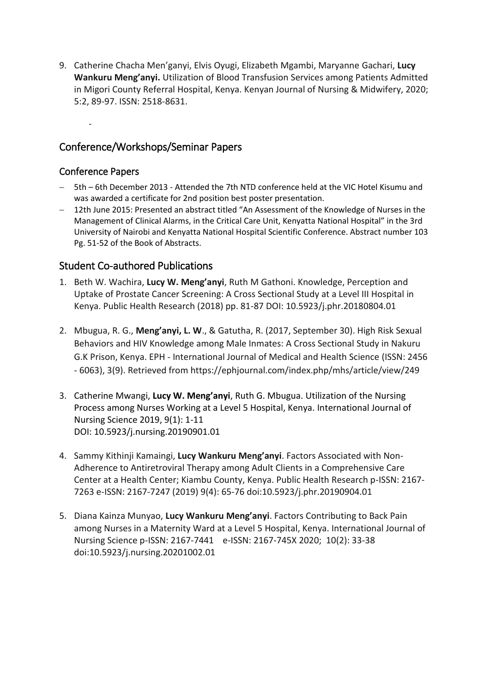9. Catherine Chacha Men'ganyi, Elvis Oyugi, Elizabeth Mgambi, Maryanne Gachari, **Lucy Wankuru Meng'anyi.** Utilization of Blood Transfusion Services among Patients Admitted in Migori County Referral Hospital, Kenya. Kenyan Journal of Nursing & Midwifery, 2020; 5:2, 89-97. ISSN: 2518-8631.

### Conference/Workshops/Seminar Papers

#### Conference Papers

-

- 5th 6th December 2013 Attended the 7th NTD conference held at the VIC Hotel Kisumu and was awarded a certificate for 2nd position best poster presentation.
- 12th June 2015: Presented an abstract titled "An Assessment of the Knowledge of Nurses in the Management of Clinical Alarms, in the Critical Care Unit, Kenyatta National Hospital" in the 3rd University of Nairobi and Kenyatta National Hospital Scientific Conference. Abstract number 103 Pg. 51-52 of the Book of Abstracts.

### Student Co-authored Publications

- 1. Beth W. Wachira, **Lucy W. Meng'anyi**, Ruth M Gathoni. Knowledge, Perception and Uptake of Prostate Cancer Screening: A Cross Sectional Study at a Level III Hospital in Kenya. Public Health Research (2018) pp. 81-87 DOI: 10.5923/j.phr.20180804.01
- 2. Mbugua, R. G., **Meng'anyi, L. W**., & Gatutha, R. (2017, September 30). High Risk Sexual Behaviors and HIV Knowledge among Male Inmates: A Cross Sectional Study in Nakuru G.K Prison, Kenya. EPH - International Journal of Medical and Health Science (ISSN: 2456 - 6063), 3(9). Retrieved from https://ephjournal.com/index.php/mhs/article/view/249
- 3. Catherine Mwangi, **Lucy W. Meng'anyi**, Ruth G. Mbugua. Utilization of the Nursing Process among Nurses Working at a Level 5 Hospital, Kenya. International Journal of Nursing Science 2019, 9(1): 1-11 DOI: 10.5923/j.nursing.20190901.01
- 4. Sammy Kithinji Kamaingi, **Lucy Wankuru Meng'anyi**. Factors Associated with Non-Adherence to Antiretroviral Therapy among Adult Clients in a Comprehensive Care Center at a Health Center; Kiambu County, Kenya. Public Health Research p-ISSN: 2167- 7263 e-ISSN: 2167-7247 (2019) 9(4): 65-76 doi:10.5923/j.phr.20190904.01
- 5. Diana Kainza Munyao, **Lucy Wankuru Meng'anyi**. Factors Contributing to Back Pain among Nurses in a Maternity Ward at a Level 5 Hospital, Kenya. International Journal of Nursing Science p-ISSN: 2167-7441 e-ISSN: 2167-745X 2020; 10(2): 33-38 doi:10.5923/j.nursing.20201002.01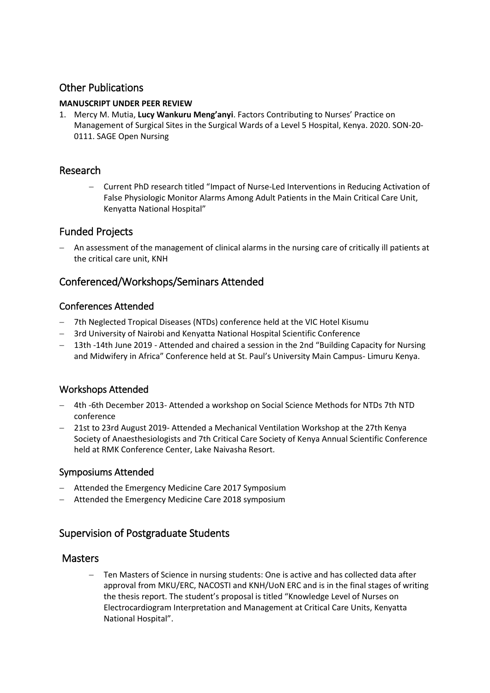### Other Publications

#### **MANUSCRIPT UNDER PEER REVIEW**

1. Mercy M. Mutia, **Lucy Wankuru Meng'anyi**. Factors Contributing to Nurses' Practice on Management of Surgical Sites in the Surgical Wards of a Level 5 Hospital, Kenya. 2020. SON-20- 0111. SAGE Open Nursing

#### Research

 Current PhD research titled "Impact of Nurse-Led Interventions in Reducing Activation of False Physiologic Monitor Alarms Among Adult Patients in the Main Critical Care Unit, Kenyatta National Hospital"

### Funded Projects

 An assessment of the management of clinical alarms in the nursing care of critically ill patients at the critical care unit, KNH

### Conferenced/Workshops/Seminars Attended

#### Conferences Attended

- 7th Neglected Tropical Diseases (NTDs) conference held at the VIC Hotel Kisumu
- 3rd University of Nairobi and Kenyatta National Hospital Scientific Conference
- 13th -14th June 2019 Attended and chaired a session in the 2nd "Building Capacity for Nursing and Midwifery in Africa" Conference held at St. Paul's University Main Campus- Limuru Kenya.

### Workshops Attended

- 4th -6th December 2013- Attended a workshop on Social Science Methods for NTDs 7th NTD conference
- 21st to 23rd August 2019- Attended a Mechanical Ventilation Workshop at the 27th Kenya Society of Anaesthesiologists and 7th Critical Care Society of Kenya Annual Scientific Conference held at RMK Conference Center, Lake Naivasha Resort.

#### Symposiums Attended

- Attended the Emergency Medicine Care 2017 Symposium
- Attended the Emergency Medicine Care 2018 symposium

### Supervision of Postgraduate Students

#### **Masters**

 Ten Masters of Science in nursing students: One is active and has collected data after approval from MKU/ERC, NACOSTI and KNH/UoN ERC and is in the final stages of writing the thesis report. The student's proposal is titled "Knowledge Level of Nurses on Electrocardiogram Interpretation and Management at Critical Care Units, Kenyatta National Hospital".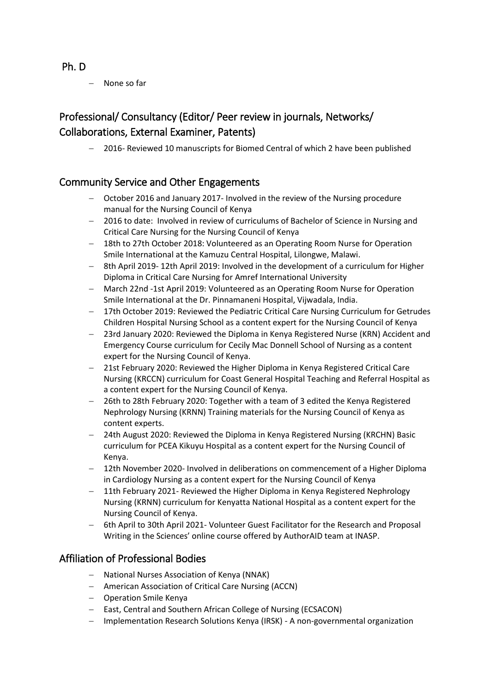#### Ph. D

None so far

## Professional/ Consultancy (Editor/ Peer review in journals, Networks/ Collaborations, External Examiner, Patents)

- 2016- Reviewed 10 manuscripts for Biomed Central of which 2 have been published

### Community Service and Other Engagements

- October 2016 and January 2017- Involved in the review of the Nursing procedure manual for the Nursing Council of Kenya
- 2016 to date: Involved in review of curriculums of Bachelor of Science in Nursing and Critical Care Nursing for the Nursing Council of Kenya
- 18th to 27th October 2018: Volunteered as an Operating Room Nurse for Operation Smile International at the Kamuzu Central Hospital, Lilongwe, Malawi.
- 8th April 2019- 12th April 2019: Involved in the development of a curriculum for Higher Diploma in Critical Care Nursing for Amref International University
- March 22nd -1st April 2019: Volunteered as an Operating Room Nurse for Operation Smile International at the Dr. Pinnamaneni Hospital, Vijwadala, India.
- 17th October 2019: Reviewed the Pediatric Critical Care Nursing Curriculum for Getrudes Children Hospital Nursing School as a content expert for the Nursing Council of Kenya
- 23rd January 2020: Reviewed the Diploma in Kenya Registered Nurse (KRN) Accident and Emergency Course curriculum for Cecily Mac Donnell School of Nursing as a content expert for the Nursing Council of Kenya.
- 21st February 2020: Reviewed the Higher Diploma in Kenya Registered Critical Care Nursing (KRCCN) curriculum for Coast General Hospital Teaching and Referral Hospital as a content expert for the Nursing Council of Kenya.
- 26th to 28th February 2020: Together with a team of 3 edited the Kenya Registered Nephrology Nursing (KRNN) Training materials for the Nursing Council of Kenya as content experts.
- 24th August 2020: Reviewed the Diploma in Kenya Registered Nursing (KRCHN) Basic curriculum for PCEA Kikuyu Hospital as a content expert for the Nursing Council of Kenya.
- 12th November 2020- Involved in deliberations on commencement of a Higher Diploma in Cardiology Nursing as a content expert for the Nursing Council of Kenya
- 11th February 2021- Reviewed the Higher Diploma in Kenya Registered Nephrology Nursing (KRNN) curriculum for Kenyatta National Hospital as a content expert for the Nursing Council of Kenya.
- 6th April to 30th April 2021- Volunteer Guest Facilitator for the Research and Proposal Writing in the Sciences' online course offered by AuthorAID team at INASP.

### Affiliation of Professional Bodies

- National Nurses Association of Kenya (NNAK)
- American Association of Critical Care Nursing (ACCN)
- Operation Smile Kenya
- East, Central and Southern African College of Nursing (ECSACON)
- Implementation Research Solutions Kenya (IRSK) A non-governmental organization